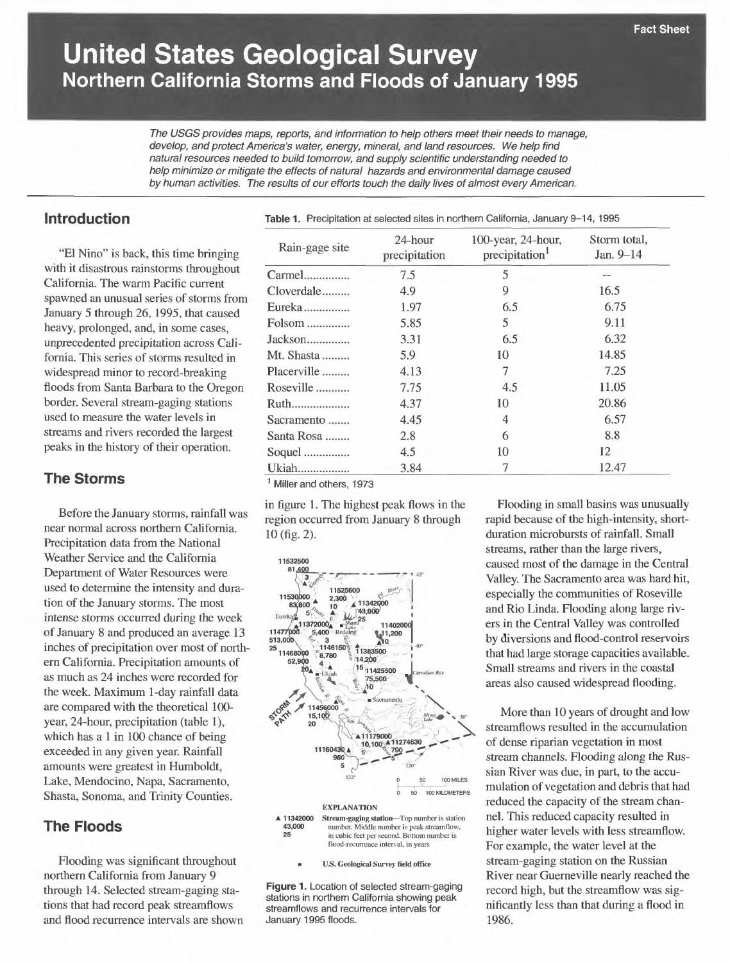# **United States Geological Survey Northern California Storms and Floods of January 1995**

The USGS provides maps, reports, and information to help others meet their needs to manage, develop, and protect America's water, energy, mineral, and land resources. We help find natural resources needed to build tomorrow, and supply scientific understanding needed to help minimize or mitigate the effects of natural hazards and environmental damage caused by human activities. The results of our efforts touch the daily lives of almost every American

# **Introduction**

"El Nino" is back, this time bringing with it disastrous rainstorms throughout California. The warm Pacific current spawned an unusual series of storms from January 5 through 26, 1995, that caused heavy, prolonged, and, in some cases, unprecedented precipitation across California. This series of storms resulted in widespread minor to record-breaking floods from Santa Barbara to the Oregon border. Several stream-gaging stations used to measure the water levels in streams and rivers recorded the largest peaks in the history of their operation.

#### **The Storms**

Before the January storms, rainfall was near normal across northern California. Precipitation data from the National Weather Service and the California Department of Water Resources were used to determine the intensity and duration of the January storms. The most intense storms occurred during the week of January 8 and produced an average 13 inches of precipitation over most of northern California. Precipitation amounts of as much as 24 inches were recorded for the week. Maximum 1-day rainfall data are compared with the theoretical 100 year, 24-hour, precipitation (table 1), which has a 1 in 100 chance of being exceeded in any given year. Rainfall amounts were greatest in Humboldt, Lake, Mendocino, Napa, Sacramento, Shasta, Sonoma, and Trinity Counties.

## **The Floods**

Flooding was significant throughout northern California from January 9 through 14. Selected stream-gaging stations that had record peak streamflows and flood recurrence intervals are shown **Table 1.** Precipitation at selected sites in northern California, January 9-14, 1995

| Rain-gage site | 24-hour<br>precipitation | 100-year, 24-hour,<br>precipitation <sup>1</sup> | Storm total,<br>Jan. 9-14 |
|----------------|--------------------------|--------------------------------------------------|---------------------------|
| Carmel         | 7.5                      | 5                                                |                           |
| Cloverdale     | 4.9                      | 9                                                | 16.5                      |
| Eureka         | 1.97                     | 6.5                                              | 6.75                      |
| Folsom         | 5.85                     | 5                                                | 9.11                      |
| Jackson        | 3.31                     | 6.5                                              | 6.32                      |
| Mt. Shasta     | 5.9                      | 10                                               | 14.85                     |
| Placerville    | 4.13                     | 7                                                | 7.25                      |
| Roseville      | 7.75                     | 4.5                                              | 11.05                     |
| Ruth           | 4.37                     | 10                                               | 20.86                     |
| Sacramento     | 4.45                     | $\overline{4}$                                   | 6.57                      |
| Santa Rosa     | 2.8                      | 6                                                | 8.8                       |
| Soquel         | 4.5                      | 10                                               | 12                        |
| Ukiah          | 3.84                     | 7                                                | 12.47                     |

<sup>1</sup> Miller and others, 1973

in figure 1. The highest peak flows in the region occurred from January 8 through 10 (fig. 2).



**Figure 1.** Location of selected stream-gaging stations in northern California showing peak streamflows and recurrence intervals for January 1995 floods.

Flooding in small basins was unusually rapid because of the high-intensity, shortduration microbursts of rainfall. Small streams, rather than the large rivers, caused most of the damage in the Central Valley. The Sacramento area was hard hit, especially the communities of Roseville and Rio Linda. Flooding along large rivers in the Central Valley was controlled by diversions and flood-control reservoirs that had large storage capacities available. Small streams and rivers in the coastal areas also caused widespread flooding.

More than 10 years of drought and low streamflows resulted in the accumulation of dense riparian vegetation in most stream channels. Flooding along the Russian River was due, in part, to the accumulation of vegetation and debris that had reduced the capacity of the stream channel. This reduced capacity resulted in higher water levels with less streamflow. For example, the water level at the stream-gaging station on the Russian River near Guerneville nearly reached the record high, but the streamflow was significantly less than that during a flood in 1986.